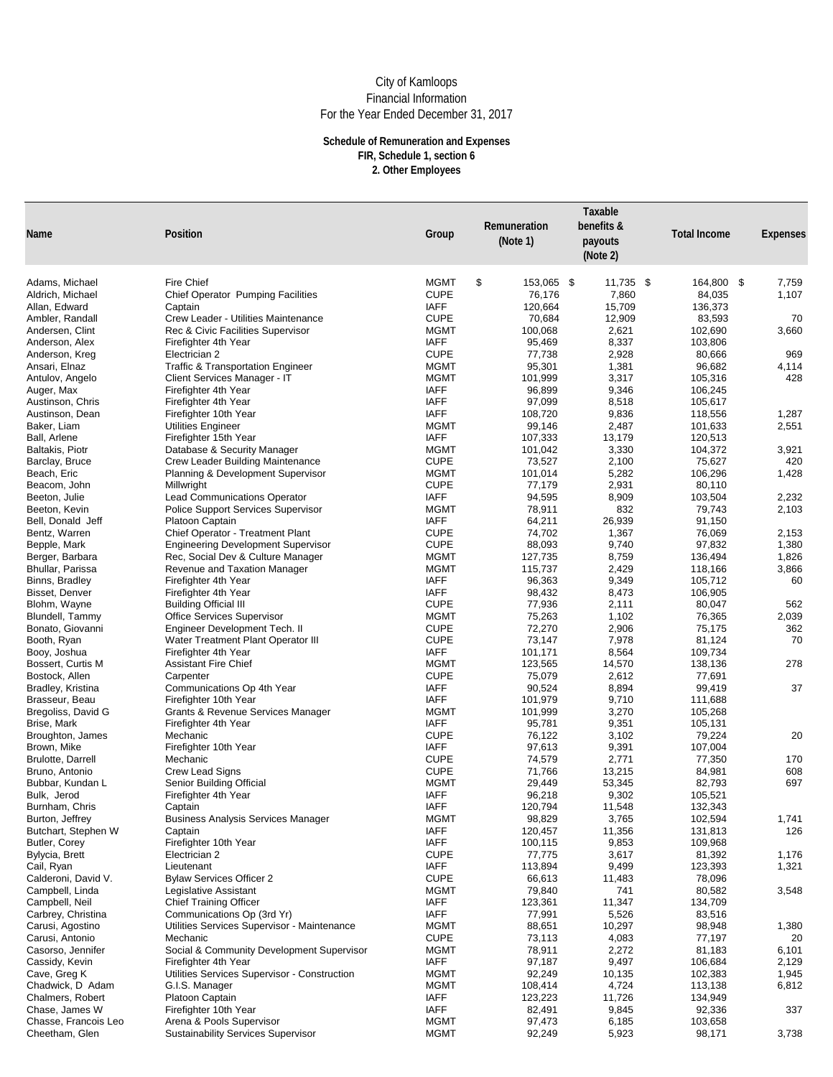| <b>Name</b>                              | <b>Position</b>                                                              | Group                      | Remuneration<br>(Note 1)     | Taxable<br>benefits &<br>payouts<br>(Note 2) | <b>Total Income</b> | <b>Expenses</b> |
|------------------------------------------|------------------------------------------------------------------------------|----------------------------|------------------------------|----------------------------------------------|---------------------|-----------------|
| Adams, Michael                           | <b>Fire Chief</b>                                                            | <b>MGMT</b>                | $\mathfrak{P}$<br>153,065 \$ | $11,735$ \$                                  | 164,800 \$          | 7,759           |
| Aldrich, Michael                         | <b>Chief Operator Pumping Facilities</b>                                     | <b>CUPE</b>                | 76,176                       | 7,860                                        | 84,035              | 1,107           |
| Allan, Edward                            | Captain                                                                      | <b>IAFF</b>                | 120,664                      | 15,709                                       | 136,373             |                 |
| Ambler, Randall                          | <b>Crew Leader - Utilities Maintenance</b>                                   | <b>CUPE</b>                | 70,684                       | 12,909                                       | 83,593              | 70              |
| Andersen, Clint                          | <b>Rec &amp; Civic Facilities Supervisor</b>                                 | <b>MGMT</b>                | 100,068                      | 2,621                                        | 102,690             | 3,660           |
| Anderson, Alex                           | Firefighter 4th Year                                                         | <b>IAFF</b>                | 95,469                       | 8,337                                        | 103,806             |                 |
| Anderson, Kreg                           | Electrician 2                                                                | <b>CUPE</b><br><b>MGMT</b> | 77,738<br>95,301             | 2,928<br>1,381                               | 80,666<br>96,682    | 969             |
| Ansari, Elnaz<br>Antulov, Angelo         | <b>Traffic &amp; Transportation Engineer</b><br>Client Services Manager - IT | <b>MGMT</b>                | 101,999                      | 3,317                                        | 105,316             | 4,114<br>428    |
| Auger, Max                               | Firefighter 4th Year                                                         | <b>IAFF</b>                | 96,899                       | 9,346                                        | 106,245             |                 |
| Austinson, Chris                         | Firefighter 4th Year                                                         | <b>IAFF</b>                | 97,099                       | 8,518                                        | 105,617             |                 |
| Austinson, Dean                          | Firefighter 10th Year                                                        | <b>IAFF</b>                | 108,720                      | 9,836                                        | 118,556             | 1,287           |
| Baker, Liam                              | <b>Utilities Engineer</b>                                                    | <b>MGMT</b>                | 99,146                       | 2,487                                        | 101,633             | 2,551           |
| Ball, Arlene                             | Firefighter 15th Year                                                        | <b>IAFF</b>                | 107,333                      | 13,179                                       | 120,513             |                 |
| <b>Baltakis, Piotr</b>                   | Database & Security Manager                                                  | <b>MGMT</b>                | 101,042                      | 3,330                                        | 104,372             | 3,921           |
| Barclay, Bruce                           | <b>Crew Leader Building Maintenance</b>                                      | <b>CUPE</b>                | 73,527                       | 2,100                                        | 75,627              | 420             |
| Beach, Eric                              | <b>Planning &amp; Development Supervisor</b>                                 | <b>MGMT</b>                | 101,014                      | 5,282                                        | 106,296             | 1,428           |
| Beacom, John                             | Millwright                                                                   | <b>CUPE</b>                | 77,179                       | 2,931                                        | 80,110              |                 |
| Beeton, Julie                            | <b>Lead Communications Operator</b>                                          | <b>IAFF</b><br><b>MGMT</b> | 94,595                       | 8,909                                        | 103,504             | 2,232           |
| Beeton, Kevin<br>Bell, Donald Jeff       | <b>Police Support Services Supervisor</b><br><b>Platoon Captain</b>          | <b>IAFF</b>                | 78,911<br>64,211             | 832<br>26,939                                | 79,743<br>91,150    | 2,103           |
| Bentz, Warren                            | <b>Chief Operator - Treatment Plant</b>                                      | <b>CUPE</b>                | 74,702                       | 1,367                                        | 76,069              | 2,153           |
| Bepple, Mark                             | <b>Engineering Development Supervisor</b>                                    | <b>CUPE</b>                | 88,093                       | 9,740                                        | 97,832              | 1,380           |
| Berger, Barbara                          | Rec, Social Dev & Culture Manager                                            | <b>MGMT</b>                | 127,735                      | 8,759                                        | 136,494             | 1,826           |
| Bhullar, Parissa                         | <b>Revenue and Taxation Manager</b>                                          | <b>MGMT</b>                | 115,737                      | 2,429                                        | 118,166             | 3,866           |
| Binns, Bradley                           | Firefighter 4th Year                                                         | <b>IAFF</b>                | 96,363                       | 9,349                                        | 105,712             | 60              |
| <b>Bisset, Denver</b>                    | Firefighter 4th Year                                                         | <b>IAFF</b>                | 98,432                       | 8,473                                        | 106,905             |                 |
| Blohm, Wayne                             | <b>Building Official III</b>                                                 | <b>CUPE</b>                | 77,936                       | 2,111                                        | 80,047              | 562             |
| Blundell, Tammy                          | <b>Office Services Supervisor</b>                                            | <b>MGMT</b>                | 75,263                       | 1,102                                        | 76,365              | 2,039           |
| Bonato, Giovanni                         | <b>Engineer Development Tech. II</b>                                         | <b>CUPE</b>                | 72,270                       | 2,906                                        | 75,175              | 362             |
| Booth, Ryan                              | <b>Water Treatment Plant Operator III</b>                                    | <b>CUPE</b>                | 73,147                       | 7,978                                        | 81,124              | 70              |
| Booy, Joshua<br><b>Bossert, Curtis M</b> | Firefighter 4th Year<br><b>Assistant Fire Chief</b>                          | <b>IAFF</b><br><b>MGMT</b> | 101,171<br>123,565           | 8,564<br>14,570                              | 109,734<br>138,136  | 278             |
| Bostock, Allen                           | Carpenter                                                                    | <b>CUPE</b>                | 75,079                       | 2,612                                        | 77,691              |                 |
| Bradley, Kristina                        | Communications Op 4th Year                                                   | <b>IAFF</b>                | 90,524                       | 8,894                                        | 99,419              | 37              |
| Brasseur, Beau                           | Firefighter 10th Year                                                        | <b>IAFF</b>                | 101,979                      | 9,710                                        | 111,688             |                 |
| Bregoliss, David G                       | <b>Grants &amp; Revenue Services Manager</b>                                 | <b>MGMT</b>                | 101,999                      | 3,270                                        | 105,268             |                 |
| Brise, Mark                              | Firefighter 4th Year                                                         | <b>IAFF</b>                | 95,781                       | 9,351                                        | 105,131             |                 |
| Broughton, James                         | Mechanic                                                                     | <b>CUPE</b>                | 76,122                       | 3,102                                        | 79,224              | 20              |
| Brown, Mike                              | Firefighter 10th Year                                                        | <b>IAFF</b>                | 97,613                       | 9,391                                        | 107,004             |                 |
| <b>Brulotte, Darrell</b>                 | Mechanic                                                                     | <b>CUPE</b>                | 74,579                       | 2,771                                        | 77,350              | 170             |
| Bruno, Antonio                           | <b>Crew Lead Signs</b>                                                       | <b>CUPE</b>                | 71,766                       | 13,215                                       | 84,981              | 608             |
| Bubbar, Kundan L<br>Bulk, Jerod          | <b>Senior Building Official</b><br>Firefighter 4th Year                      | <b>MGMT</b><br><b>IAFF</b> | 29,449<br>96,218             | 53,345<br>9,302                              | 82,793<br>105,521   | 697             |
| Burnham, Chris                           | Captain                                                                      | <b>IAFF</b>                | 120,794                      | 11,548                                       | 132,343             |                 |
| Burton, Jeffrey                          | <b>Business Analysis Services Manager</b>                                    | <b>MGMT</b>                | 98,829                       | 3,765                                        | 102,594             | 1,741           |
| Butchart, Stephen W                      | Captain                                                                      | <b>IAFF</b>                | 120,457                      | 11,356                                       | 131,813             | 126             |
| Butler, Corey                            | Firefighter 10th Year                                                        | <b>IAFF</b>                | 100,115                      | 9,853                                        | 109,968             |                 |
| Bylycia, Brett                           | Electrician 2                                                                | <b>CUPE</b>                | 77,775                       | 3,617                                        | 81,392              | 1,176           |
| Cail, Ryan                               | Lieutenant                                                                   | <b>IAFF</b>                | 113,894                      | 9,499                                        | 123,393             | 1,321           |
| Calderoni, David V.                      | <b>Bylaw Services Officer 2</b>                                              | <b>CUPE</b>                | 66,613                       | 11,483                                       | 78,096              |                 |
| Campbell, Linda                          | Legislative Assistant                                                        | <b>MGMT</b>                | 79,840                       | 741                                          | 80,582              | 3,548           |
| Campbell, Neil                           | <b>Chief Training Officer</b>                                                | <b>IAFF</b>                | 123,361                      | 11,347                                       | 134,709             |                 |
| Carbrey, Christina<br>Carusi, Agostino   | Communications Op (3rd Yr)<br>Utilities Services Supervisor - Maintenance    | <b>IAFF</b><br><b>MGMT</b> | 77,991<br>88,651             | 5,526<br>10,297                              | 83,516<br>98,948    | 1,380           |
| Carusi, Antonio                          | Mechanic                                                                     | <b>CUPE</b>                | 73,113                       | 4,083                                        | 77,197              | 20              |
| Casorso, Jennifer                        | Social & Community Development Supervisor                                    | <b>MGMT</b>                | 78,911                       | 2,272                                        | 81,183              | 6,101           |
| Cassidy, Kevin                           | Firefighter 4th Year                                                         | <b>IAFF</b>                | 97,187                       | 9,497                                        | 106,684             | 2,129           |
| Cave, Greg K                             | Utilities Services Supervisor - Construction                                 | <b>MGMT</b>                | 92,249                       | 10,135                                       | 102,383             | 1,945           |
| Chadwick, D Adam                         | G.I.S. Manager                                                               | <b>MGMT</b>                | 108,414                      | 4,724                                        | 113,138             | 6,812           |
| Chalmers, Robert                         | Platoon Captain                                                              | <b>IAFF</b>                | 123,223                      | 11,726                                       | 134,949             |                 |
| Chase, James W                           | Firefighter 10th Year                                                        | <b>IAFF</b>                | 82,491                       | 9,845                                        | 92,336              | 337             |
| Chasse, Francois Leo                     | Arena & Pools Supervisor                                                     | <b>MGMT</b>                | 97,473                       | 6,185                                        | 103,658             |                 |
| Cheetham, Glen                           | <b>Sustainability Services Supervisor</b>                                    | <b>MGMT</b>                | 92,249                       | 5,923                                        | 98,171              | 3,738           |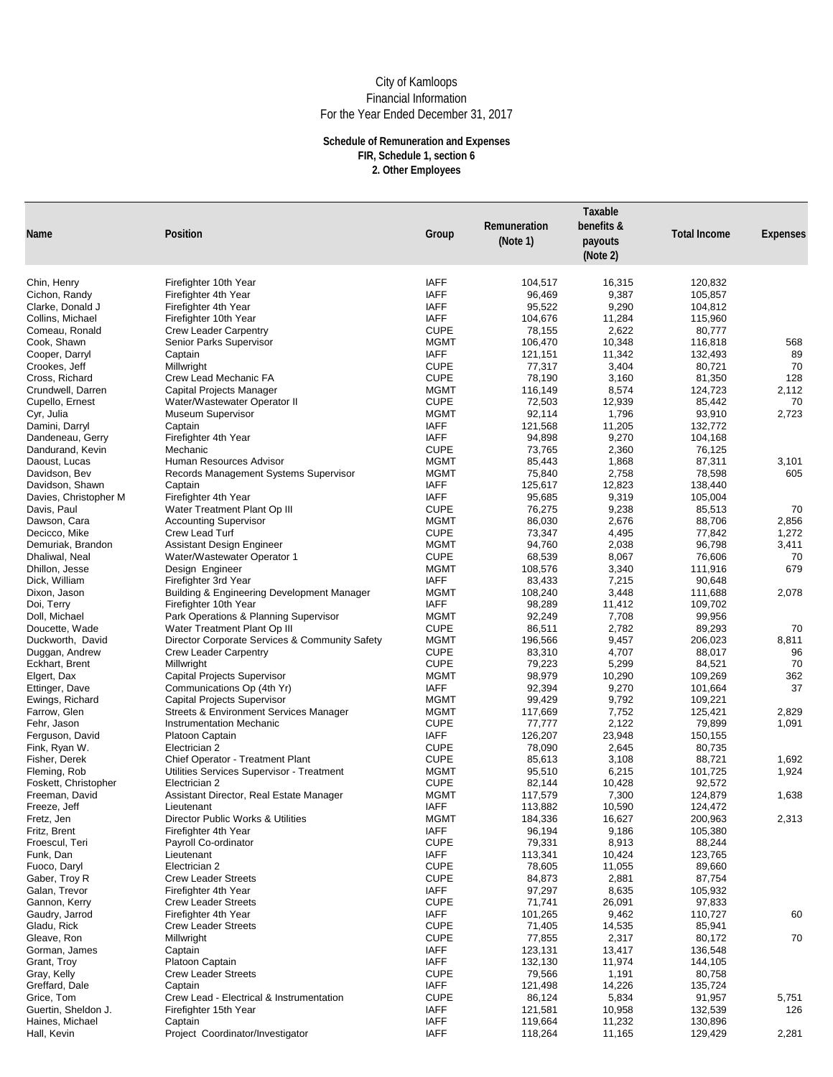| <b>Name</b>                      | <b>Position</b>                                                                      | Group                      | Remuneration<br>(Note 1) | Taxable<br>benefits &<br>payouts<br>(Note 2) | <b>Total Income</b> | <b>Expenses</b> |
|----------------------------------|--------------------------------------------------------------------------------------|----------------------------|--------------------------|----------------------------------------------|---------------------|-----------------|
| Chin, Henry                      | Firefighter 10th Year                                                                | <b>IAFF</b>                | 104,517                  | 16,315                                       | 120,832             |                 |
| Cichon, Randy                    | Firefighter 4th Year                                                                 | <b>IAFF</b>                | 96,469                   | 9,387                                        | 105,857             |                 |
| Clarke, Donald J                 | Firefighter 4th Year                                                                 | <b>IAFF</b>                | 95,522                   | 9,290                                        | 104,812             |                 |
| Collins, Michael                 | Firefighter 10th Year                                                                | <b>IAFF</b>                | 104,676                  | 11,284                                       | 115,960             |                 |
| Comeau, Ronald                   | <b>Crew Leader Carpentry</b>                                                         | <b>CUPE</b>                | 78,155                   | 2,622                                        | 80,777              |                 |
| Cook, Shawn                      | Senior Parks Supervisor                                                              | <b>MGMT</b>                | 106,470                  | 10,348                                       | 116,818             | 568             |
| Cooper, Darryl                   | Captain                                                                              | <b>IAFF</b>                | 121,151                  | 11,342                                       | 132,493             | 89              |
| Crookes, Jeff                    | Millwright                                                                           | <b>CUPE</b>                | 77,317                   | 3,404                                        | 80,721              | 70              |
| Cross, Richard                   | <b>Crew Lead Mechanic FA</b>                                                         | <b>CUPE</b>                | 78,190                   | 3,160                                        | 81,350              | 128             |
| Crundwell, Darren                | <b>Capital Projects Manager</b>                                                      | <b>MGMT</b>                | 116,149                  | 8,574                                        | 124,723             | 2,112           |
| Cupello, Ernest                  | Water/Wastewater Operator II                                                         | <b>CUPE</b>                | 72,503                   | 12,939                                       | 85,442              | 70              |
| Cyr, Julia                       | <b>Museum Supervisor</b>                                                             | <b>MGMT</b>                | 92,114                   | 1,796                                        | 93,910              | 2,723           |
| Damini, Darryl                   | Captain                                                                              | <b>IAFF</b>                | 121,568                  | 11,205                                       | 132,772             |                 |
| Dandeneau, Gerry                 | Firefighter 4th Year                                                                 | <b>IAFF</b>                | 94,898                   | 9,270                                        | 104,168             |                 |
| Dandurand, Kevin                 | Mechanic<br><b>Human Resources Advisor</b>                                           | <b>CUPE</b><br><b>MGMT</b> | 73,765                   | 2,360                                        | 76,125              |                 |
| Daoust, Lucas                    |                                                                                      | <b>MGMT</b>                | 85,443                   | 1,868                                        | 87,311              | 3,101<br>605    |
| Davidson, Bev<br>Davidson, Shawn | <b>Records Management Systems Supervisor</b><br>Captain                              | <b>IAFF</b>                | 75,840<br>125,617        | 2,758<br>12,823                              | 78,598<br>138,440   |                 |
| Davies, Christopher M            | Firefighter 4th Year                                                                 | <b>IAFF</b>                | 95,685                   | 9,319                                        | 105,004             |                 |
| Davis, Paul                      | Water Treatment Plant Op III                                                         | <b>CUPE</b>                | 76,275                   | 9,238                                        | 85,513              | 70              |
| Dawson, Cara                     | <b>Accounting Supervisor</b>                                                         | <b>MGMT</b>                | 86,030                   | 2,676                                        | 88,706              | 2,856           |
| Decicco, Mike                    | Crew Lead Turf                                                                       | <b>CUPE</b>                | 73,347                   | 4,495                                        | 77,842              | 1,272           |
| Demuriak, Brandon                | <b>Assistant Design Engineer</b>                                                     | <b>MGMT</b>                | 94,760                   | 2,038                                        | 96,798              | 3,411           |
| Dhaliwal, Neal                   | Water/Wastewater Operator 1                                                          | <b>CUPE</b>                | 68,539                   | 8,067                                        | 76,606              | 70              |
| Dhillon, Jesse                   | Design Engineer                                                                      | <b>MGMT</b>                | 108,576                  | 3,340                                        | 111,916             | 679             |
| Dick, William                    | Firefighter 3rd Year                                                                 | <b>IAFF</b>                | 83,433                   | 7,215                                        | 90,648              |                 |
| Dixon, Jason                     | <b>Building &amp; Engineering Development Manager</b>                                | <b>MGMT</b>                | 108,240                  | 3,448                                        | 111,688             | 2,078           |
| Doi, Terry                       | Firefighter 10th Year                                                                | <b>IAFF</b>                | 98,289                   | 11,412                                       | 109,702             |                 |
| Doll, Michael                    | Park Operations & Planning Supervisor                                                | <b>MGMT</b>                | 92,249                   | 7,708                                        | 99,956              |                 |
| Doucette, Wade                   | Water Treatment Plant Op III                                                         | <b>CUPE</b>                | 86,511                   | 2,782                                        | 89,293              | 70              |
| Duckworth, David                 | Director Corporate Services & Community Safety                                       | <b>MGMT</b>                | 196,566                  | 9,457                                        | 206,023             | 8,811           |
| Duggan, Andrew                   | <b>Crew Leader Carpentry</b>                                                         | <b>CUPE</b>                | 83,310                   | 4,707                                        | 88,017              | 96              |
| Eckhart, Brent                   | Millwright                                                                           | <b>CUPE</b>                | 79,223                   | 5,299                                        | 84,521              | 70              |
| Elgert, Dax                      | <b>Capital Projects Supervisor</b>                                                   | <b>MGMT</b>                | 98,979                   | 10,290                                       | 109,269             | 362             |
| Ettinger, Dave                   | Communications Op (4th Yr)                                                           | <b>IAFF</b>                | 92,394                   | 9,270                                        | 101,664             | 37              |
| Ewings, Richard                  | <b>Capital Projects Supervisor</b>                                                   | <b>MGMT</b>                | 99,429                   | 9,792                                        | 109,221             |                 |
| Farrow, Glen                     | <b>Streets &amp; Environment Services Manager</b>                                    | <b>MGMT</b>                | 117,669                  | 7,752                                        | 125,421             | 2,829           |
| Fehr, Jason                      | <b>Instrumentation Mechanic</b>                                                      | <b>CUPE</b>                | 77,777                   | 2,122                                        | 79,899              | 1,091           |
| Ferguson, David                  | <b>Platoon Captain</b>                                                               | <b>IAFF</b>                | 126,207                  | 23,948                                       | 150,155             |                 |
| Fink, Ryan W.                    | Electrician 2                                                                        | <b>CUPE</b>                | 78,090                   | 2,645                                        | 80,735              |                 |
| Fisher, Derek<br>Fleming, Rob    | <b>Chief Operator - Treatment Plant</b><br>Utilities Services Supervisor - Treatment | <b>CUPE</b><br><b>MGMT</b> | 85,613<br>95,510         | 3,108<br>6,215                               | 88,721<br>101,725   | 1,692<br>1,924  |
| Foskett, Christopher             | Electrician 2                                                                        | <b>CUPE</b>                | 82,144                   | 10,428                                       | 92,572              |                 |
| Freeman, David                   | Assistant Director, Real Estate Manager                                              | <b>MGMT</b>                | 117,579                  | 7,300                                        | 124,879             | 1,638           |
| Freeze, Jeff                     | Lieutenant                                                                           | <b>IAFF</b>                | 113,882                  | 10,590                                       | 124,472             |                 |
| Fretz, Jen                       | Director Public Works & Utilities                                                    | <b>MGMT</b>                | 184,336                  | 16,627                                       | 200,963             | 2,313           |
| Fritz, Brent                     | Firefighter 4th Year                                                                 | <b>IAFF</b>                | 96,194                   | 9,186                                        | 105,380             |                 |
| Froescul, Teri                   | Payroll Co-ordinator                                                                 | <b>CUPE</b>                | 79,331                   | 8,913                                        | 88,244              |                 |
| Funk, Dan                        | Lieutenant                                                                           | <b>IAFF</b>                | 113,341                  | 10,424                                       | 123,765             |                 |
| Fuoco, Daryl                     | Electrician 2                                                                        | <b>CUPE</b>                | 78,605                   | 11,055                                       | 89,660              |                 |
| Gaber, Troy R                    | <b>Crew Leader Streets</b>                                                           | <b>CUPE</b>                | 84,873                   | 2,881                                        | 87,754              |                 |
| Galan, Trevor                    | Firefighter 4th Year                                                                 | <b>IAFF</b>                | 97,297                   | 8,635                                        | 105,932             |                 |
| Gannon, Kerry                    | <b>Crew Leader Streets</b>                                                           | <b>CUPE</b>                | 71,741                   | 26,091                                       | 97,833              |                 |
| Gaudry, Jarrod                   | Firefighter 4th Year                                                                 | <b>IAFF</b>                | 101,265                  | 9,462                                        | 110,727             | 60              |
| Gladu, Rick                      | <b>Crew Leader Streets</b>                                                           | <b>CUPE</b>                | 71,405                   | 14,535                                       | 85,941              |                 |
| Gleave, Ron                      | Millwright                                                                           | <b>CUPE</b>                | 77,855                   | 2,317                                        | 80,172              | 70              |
| Gorman, James                    | Captain                                                                              | <b>IAFF</b>                | 123,131                  | 13,417                                       | 136,548             |                 |
| Grant, Troy                      | Platoon Captain                                                                      | <b>IAFF</b>                | 132,130                  | 11,974                                       | 144,105             |                 |
| Gray, Kelly                      | <b>Crew Leader Streets</b>                                                           | <b>CUPE</b>                | 79,566                   | 1,191                                        | 80,758              |                 |
| Greffard, Dale                   | Captain                                                                              | <b>IAFF</b>                | 121,498                  | 14,226                                       | 135,724             |                 |
| Grice, Tom                       | <b>Crew Lead - Electrical &amp; Instrumentation</b>                                  | <b>CUPE</b>                | 86,124                   | 5,834                                        | 91,957              | 5,751           |
| Guertin, Sheldon J.              | Firefighter 15th Year                                                                | <b>IAFF</b>                | 121,581                  | 10,958                                       | 132,539             | 126             |
| Haines, Michael                  | Captain                                                                              | <b>IAFF</b>                | 119,664                  | 11,232                                       | 130,896             |                 |
| Hall, Kevin                      | Project Coordinator/Investigator                                                     | <b>IAFF</b>                | 118,264                  | 11,165                                       | 129,429             | 2,281           |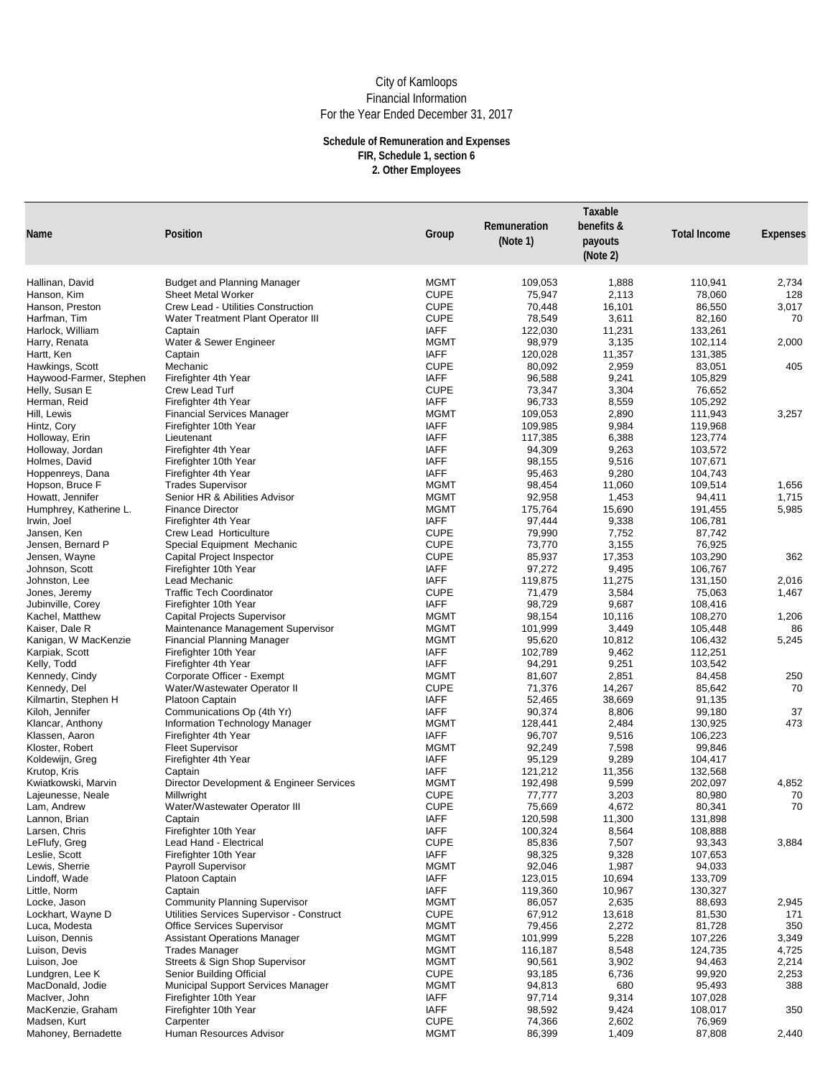| <b>Name</b>                            | Position                                                               | Group                      | Remuneration<br>(Note $1$ ) | Taxable<br>benefits &<br>payouts<br>(Note 2) | <b>Total Income</b> | <b>Expenses</b> |
|----------------------------------------|------------------------------------------------------------------------|----------------------------|-----------------------------|----------------------------------------------|---------------------|-----------------|
| Hallinan, David                        | <b>Budget and Planning Manager</b>                                     | <b>MGMT</b>                | 109,053                     | 1,888                                        | 110,941             | 2,734           |
| Hanson, Kim                            | <b>Sheet Metal Worker</b>                                              | <b>CUPE</b>                | 75,947                      | 2,113                                        | 78,060              | 128             |
| Hanson, Preston                        | <b>Crew Lead - Utilities Construction</b>                              | <b>CUPE</b>                | 70,448                      | 16,101                                       | 86,550              | 3,017           |
| Harfman, Tim                           | <b>Water Treatment Plant Operator III</b>                              | <b>CUPE</b>                | 78,549                      | 3,611                                        | 82,160              | 70              |
| Harlock, William                       | Captain                                                                | <b>IAFF</b>                | 122,030                     | 11,231                                       | 133,261             |                 |
| Harry, Renata                          | Water & Sewer Engineer                                                 | <b>MGMT</b>                | 98,979                      | 3,135                                        | 102,114             | 2,000           |
| Hartt, Ken                             | Captain                                                                | <b>IAFF</b>                | 120,028                     | 11,357                                       | 131,385             |                 |
| Hawkings, Scott                        | Mechanic                                                               | <b>CUPE</b>                | 80,092                      | 2,959                                        | 83,051              | 405             |
| Haywood-Farmer, Stephen                | Firefighter 4th Year                                                   | <b>IAFF</b>                | 96,588                      | 9,241                                        | 105,829             |                 |
| Helly, Susan E                         | <b>Crew Lead Turf</b>                                                  | <b>CUPE</b>                | 73,347                      | 3,304                                        | 76,652              |                 |
| Herman, Reid                           | Firefighter 4th Year<br><b>Financial Services Manager</b>              | <b>IAFF</b><br><b>MGMT</b> | 96,733<br>109,053           | 8,559<br>2,890                               | 105,292<br>111,943  | 3,257           |
| Hill, Lewis<br>Hintz, Cory             | Firefighter 10th Year                                                  | <b>IAFF</b>                | 109,985                     | 9,984                                        | 119,968             |                 |
| Holloway, Erin                         | Lieutenant                                                             | <b>IAFF</b>                | 117,385                     | 6,388                                        | 123,774             |                 |
| Holloway, Jordan                       | Firefighter 4th Year                                                   | <b>IAFF</b>                | 94,309                      | 9,263                                        | 103,572             |                 |
| Holmes, David                          | Firefighter 10th Year                                                  | <b>IAFF</b>                | 98,155                      | 9,516                                        | 107,671             |                 |
| Hoppenreys, Dana                       | Firefighter 4th Year                                                   | <b>IAFF</b>                | 95,463                      | 9,280                                        | 104,743             |                 |
| Hopson, Bruce F                        | <b>Trades Supervisor</b>                                               | <b>MGMT</b>                | 98,454                      | 11,060                                       | 109,514             | 1,656           |
| Howatt, Jennifer                       | Senior HR & Abilities Advisor                                          | <b>MGMT</b>                | 92,958                      | 1,453                                        | 94,411              | 1,715           |
| Humphrey, Katherine L.                 | <b>Finance Director</b>                                                | <b>MGMT</b>                | 175,764                     | 15,690                                       | 191,455             | 5,985           |
| Irwin, Joel                            | Firefighter 4th Year                                                   | <b>IAFF</b>                | 97,444                      | 9,338                                        | 106,781             |                 |
| Jansen, Ken                            | <b>Crew Lead Horticulture</b>                                          | <b>CUPE</b>                | 79,990                      | 7,752                                        | 87,742              |                 |
| Jensen, Bernard P                      | <b>Special Equipment Mechanic</b>                                      | <b>CUPE</b>                | 73,770                      | 3,155                                        | 76,925              |                 |
| Jensen, Wayne                          | <b>Capital Project Inspector</b>                                       | <b>CUPE</b>                | 85,937                      | 17,353                                       | 103,290             | 362             |
| Johnson, Scott                         | Firefighter 10th Year                                                  | <b>IAFF</b>                | 97,272                      | 9,495                                        | 106,767             |                 |
| Johnston, Lee                          | Lead Mechanic                                                          | <b>IAFF</b>                | 119,875                     | 11,275                                       | 131,150             | 2,016           |
| Jones, Jeremy                          | <b>Traffic Tech Coordinator</b>                                        | <b>CUPE</b>                | 71,479                      | 3,584                                        | 75,063              | 1,467           |
| Jubinville, Corey                      | Firefighter 10th Year                                                  | <b>IAFF</b>                | 98,729                      | 9,687                                        | 108,416             |                 |
| Kachel, Matthew                        | <b>Capital Projects Supervisor</b>                                     | <b>MGMT</b><br><b>MGMT</b> | 98,154                      | 10,116                                       | 108,270             | 1,206           |
| Kaiser, Dale R<br>Kanigan, W MacKenzie | Maintenance Management Supervisor<br><b>Financial Planning Manager</b> | <b>MGMT</b>                | 101,999<br>95,620           | 3,449<br>10,812                              | 105,448<br>106,432  | 86<br>5,245     |
| Karpiak, Scott                         | Firefighter 10th Year                                                  | <b>IAFF</b>                | 102,789                     | 9,462                                        | 112,251             |                 |
| Kelly, Todd                            | Firefighter 4th Year                                                   | <b>IAFF</b>                | 94,291                      | 9,251                                        | 103,542             |                 |
| Kennedy, Cindy                         | Corporate Officer - Exempt                                             | <b>MGMT</b>                | 81,607                      | 2,851                                        | 84,458              | 250             |
| Kennedy, Del                           | Water/Wastewater Operator II                                           | <b>CUPE</b>                | 71,376                      | 14,267                                       | 85,642              | 70              |
| Kilmartin, Stephen H                   | <b>Platoon Captain</b>                                                 | <b>IAFF</b>                | 52,465                      | 38,669                                       | 91,135              |                 |
| Kiloh, Jennifer                        | Communications Op (4th Yr)                                             | <b>IAFF</b>                | 90,374                      | 8,806                                        | 99,180              | 37              |
| Klancar, Anthony                       | Information Technology Manager                                         | <b>MGMT</b>                | 128,441                     | 2,484                                        | 130,925             | 473             |
| Klassen, Aaron                         | Firefighter 4th Year                                                   | <b>IAFF</b>                | 96,707                      | 9,516                                        | 106,223             |                 |
| Kloster, Robert                        | <b>Fleet Supervisor</b>                                                | <b>MGMT</b>                | 92,249                      | 7,598                                        | 99,846              |                 |
| Koldewijn, Greg                        | Firefighter 4th Year                                                   | <b>IAFF</b>                | 95,129                      | 9,289                                        | 104,417             |                 |
| Krutop, Kris                           | Captain                                                                | <b>IAFF</b>                | 121,212                     | 11,356                                       | 132,568             |                 |
| Kwiatkowski, Marvin                    | Director Development & Engineer Services                               | <b>MGMT</b>                | 192,498                     | 9,599                                        | 202,097             | 4,852           |
| Lajeunesse, Neale                      | Millwright                                                             | <b>CUPE</b>                | 77,777                      | 3,203                                        | 80,980              | 70<br>70        |
| Lam, Andrew                            | Water/Wastewater Operator III                                          | <b>CUPE</b><br><b>IAFF</b> | 75,669                      | 4,672                                        | 80,341              |                 |
| Lannon, Brian<br>Larsen, Chris         | Captain<br>Firefighter 10th Year                                       | <b>IAFF</b>                | 120,598<br>100,324          | 11,300<br>8,564                              | 131,898<br>108,888  |                 |
| LeFlufy, Greg                          | Lead Hand - Electrical                                                 | <b>CUPE</b>                | 85,836                      | 7,507                                        | 93,343              | 3,884           |
| Leslie, Scott                          | Firefighter 10th Year                                                  | <b>IAFF</b>                | 98,325                      | 9,328                                        | 107,653             |                 |
| Lewis, Sherrie                         | <b>Payroll Supervisor</b>                                              | <b>MGMT</b>                | 92,046                      | 1,987                                        | 94,033              |                 |
| Lindoff, Wade                          | Platoon Captain                                                        | <b>IAFF</b>                | 123,015                     | 10,694                                       | 133,709             |                 |
| Little, Norm                           | Captain                                                                | <b>IAFF</b>                | 119,360                     | 10,967                                       | 130,327             |                 |
| Locke, Jason                           | <b>Community Planning Supervisor</b>                                   | <b>MGMT</b>                | 86,057                      | 2,635                                        | 88,693              | 2,945           |
| Lockhart, Wayne D                      | Utilities Services Supervisor - Construct                              | <b>CUPE</b>                | 67,912                      | 13,618                                       | 81,530              | 171             |
| Luca, Modesta                          | <b>Office Services Supervisor</b>                                      | <b>MGMT</b>                | 79,456                      | 2,272                                        | 81,728              | 350             |
| Luison, Dennis                         | <b>Assistant Operations Manager</b>                                    | <b>MGMT</b>                | 101,999                     | 5,228                                        | 107,226             | 3,349           |
| Luison, Devis                          | <b>Trades Manager</b>                                                  | <b>MGMT</b>                | 116,187                     | 8,548                                        | 124,735             | 4,725           |
| Luison, Joe                            | <b>Streets &amp; Sign Shop Supervisor</b>                              | <b>MGMT</b>                | 90,561                      | 3,902                                        | 94,463              | 2,214           |
| Lundgren, Lee K                        | <b>Senior Building Official</b>                                        | <b>CUPE</b>                | 93,185                      | 6,736                                        | 99,920              | 2,253           |
| MacDonald, Jodie                       | <b>Municipal Support Services Manager</b>                              | <b>MGMT</b>                | 94,813                      | 680                                          | 95,493              | 388             |
| MacIver, John<br>MacKenzie, Graham     | Firefighter 10th Year<br>Firefighter 10th Year                         | <b>IAFF</b><br><b>IAFF</b> | 97,714<br>98,592            | 9,314<br>9,424                               | 107,028<br>108,017  | 350             |
| Madsen, Kurt                           | Carpenter                                                              | <b>CUPE</b>                | 74,366                      | 2,602                                        | 76,969              |                 |
| Mahoney, Bernadette                    | <b>Human Resources Advisor</b>                                         | <b>MGMT</b>                | 86,399                      | 1,409                                        | 87,808              | 2,440           |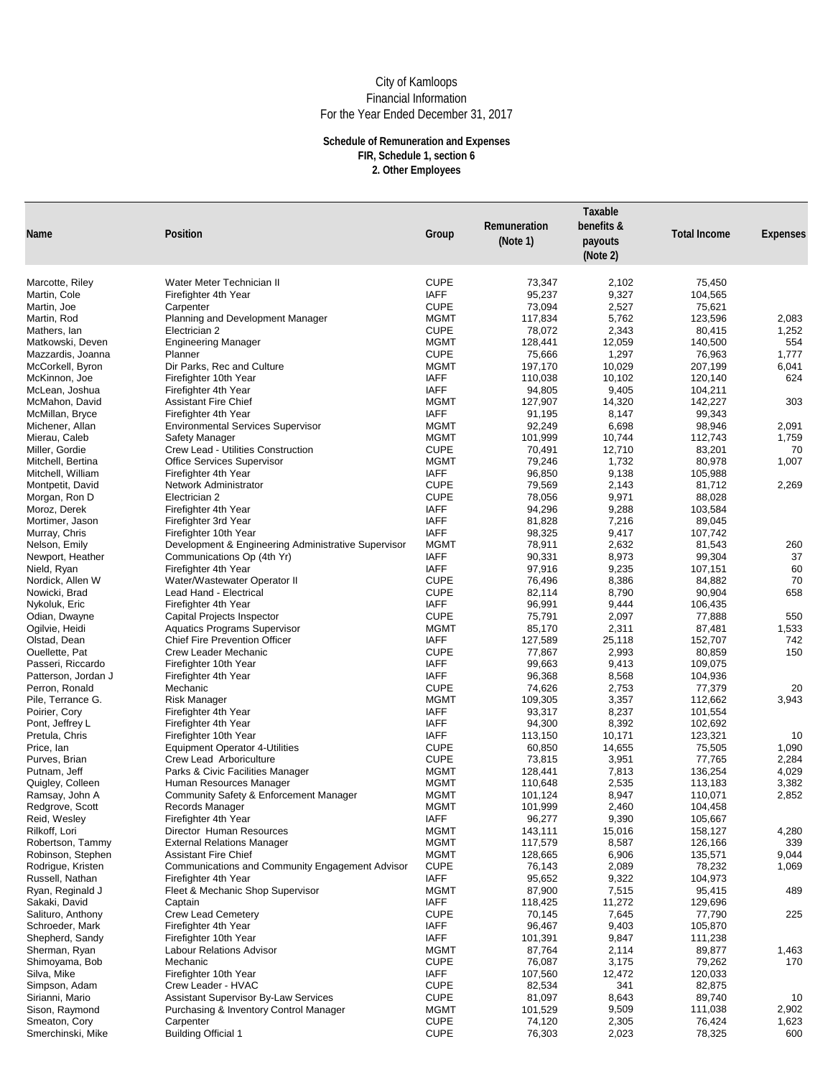| <b>Name</b>                            | <b>Position</b>                                                      | Group                      | Remuneration<br>(Note 1) | Taxable<br>benefits &<br>payouts<br>(Note 2) | <b>Total Income</b> | <b>Expenses</b> |
|----------------------------------------|----------------------------------------------------------------------|----------------------------|--------------------------|----------------------------------------------|---------------------|-----------------|
|                                        |                                                                      |                            |                          |                                              |                     |                 |
| Marcotte, Riley                        | Water Meter Technician II                                            | <b>CUPE</b>                | 73,347                   | 2,102                                        | 75,450              |                 |
| Martin, Cole                           | Firefighter 4th Year                                                 | <b>IAFF</b><br><b>CUPE</b> | 95,237                   | 9,327                                        | 104,565             |                 |
| Martin, Joe<br>Martin, Rod             | Carpenter<br>Planning and Development Manager                        | <b>MGMT</b>                | 73,094<br>117,834        | 2,527<br>5,762                               | 75,621<br>123,596   | 2,083           |
| Mathers, lan                           | Electrician 2                                                        | <b>CUPE</b>                | 78,072                   | 2,343                                        | 80,415              | 1,252           |
| Matkowski, Deven                       | <b>Engineering Manager</b>                                           | <b>MGMT</b>                | 128,441                  | 12,059                                       | 140,500             | 554             |
| Mazzardis, Joanna                      | Planner                                                              | <b>CUPE</b>                | 75,666                   | 1,297                                        | 76,963              | 1,777           |
| McCorkell, Byron                       | Dir Parks, Rec and Culture                                           | <b>MGMT</b>                | 197,170                  | 10,029                                       | 207,199             | 6,041           |
| McKinnon, Joe                          | Firefighter 10th Year                                                | <b>IAFF</b>                | 110,038                  | 10,102                                       | 120,140             | 624             |
| McLean, Joshua                         | Firefighter 4th Year                                                 | <b>IAFF</b>                | 94,805                   | 9,405                                        | 104,211             |                 |
| McMahon, David                         | <b>Assistant Fire Chief</b>                                          | <b>MGMT</b>                | 127,907                  | 14,320                                       | 142,227             | 303             |
| McMillan, Bryce                        | Firefighter 4th Year                                                 | <b>IAFF</b>                | 91,195                   | 8,147                                        | 99,343              |                 |
| Michener, Allan                        | <b>Environmental Services Supervisor</b>                             | <b>MGMT</b>                | 92,249                   | 6,698                                        | 98,946              | 2,091           |
| Mierau, Caleb                          | <b>Safety Manager</b>                                                | <b>MGMT</b>                | 101,999                  | 10,744                                       | 112,743             | 1,759           |
| Miller, Gordie                         | <b>Crew Lead - Utilities Construction</b>                            | <b>CUPE</b>                | 70,491                   | 12,710                                       | 83,201              | 70              |
| Mitchell, Bertina<br>Mitchell, William | <b>Office Services Supervisor</b><br>Firefighter 4th Year            | <b>MGMT</b><br><b>IAFF</b> | 79,246<br>96,850         | 1,732<br>9,138                               | 80,978<br>105,988   | 1,007           |
| Montpetit, David                       | <b>Network Administrator</b>                                         | <b>CUPE</b>                | 79,569                   | 2,143                                        | 81,712              | 2,269           |
| Morgan, Ron D                          | Electrician 2                                                        | <b>CUPE</b>                | 78,056                   | 9,971                                        | 88,028              |                 |
| Moroz, Derek                           | Firefighter 4th Year                                                 | <b>IAFF</b>                | 94,296                   | 9,288                                        | 103,584             |                 |
| Mortimer, Jason                        | Firefighter 3rd Year                                                 | <b>IAFF</b>                | 81,828                   | 7,216                                        | 89,045              |                 |
| Murray, Chris                          | Firefighter 10th Year                                                | <b>IAFF</b>                | 98,325                   | 9,417                                        | 107,742             |                 |
| Nelson, Emily                          | Development & Engineering Administrative Supervisor                  | <b>MGMT</b>                | 78,911                   | 2,632                                        | 81,543              | 260             |
| Newport, Heather                       | Communications Op (4th Yr)                                           | <b>IAFF</b>                | 90,331                   | 8,973                                        | 99,304              | 37              |
| Nield, Ryan                            | Firefighter 4th Year                                                 | <b>IAFF</b>                | 97,916                   | 9,235                                        | 107,151             | 60              |
| Nordick, Allen W                       | Water/Wastewater Operator II                                         | <b>CUPE</b>                | 76,496                   | 8,386                                        | 84,882              | 70              |
| Nowicki, Brad                          | Lead Hand - Electrical                                               | <b>CUPE</b>                | 82,114                   | 8,790                                        | 90,904              | 658             |
| Nykoluk, Eric                          | Firefighter 4th Year                                                 | <b>IAFF</b>                | 96,991                   | 9,444                                        | 106,435             |                 |
| Odian, Dwayne                          | <b>Capital Projects Inspector</b>                                    | <b>CUPE</b>                | 75,791                   | 2,097                                        | 77,888              | 550             |
| Ogilvie, Heidi                         | <b>Aquatics Programs Supervisor</b>                                  | <b>MGMT</b><br><b>IAFF</b> | 85,170                   | 2,311                                        | 87,481              | 1,533           |
| Olstad, Dean<br>Ouellette, Pat         | <b>Chief Fire Prevention Officer</b><br><b>Crew Leader Mechanic</b>  | <b>CUPE</b>                | 127,589<br>77,867        | 25,118<br>2,993                              | 152,707<br>80,859   | 742<br>150      |
| Passeri, Riccardo                      | Firefighter 10th Year                                                | <b>IAFF</b>                | 99,663                   | 9,413                                        | 109,075             |                 |
| Patterson, Jordan J                    | Firefighter 4th Year                                                 | <b>IAFF</b>                | 96,368                   | 8,568                                        | 104,936             |                 |
| Perron, Ronald                         | Mechanic                                                             | <b>CUPE</b>                | 74,626                   | 2,753                                        | 77,379              | 20              |
| Pile, Terrance G.                      | <b>Risk Manager</b>                                                  | <b>MGMT</b>                | 109,305                  | 3,357                                        | 112,662             | 3,943           |
| Poirier, Cory                          | Firefighter 4th Year                                                 | <b>IAFF</b>                | 93,317                   | 8,237                                        | 101,554             |                 |
| Pont, Jeffrey L                        | Firefighter 4th Year                                                 | <b>IAFF</b>                | 94,300                   | 8,392                                        | 102,692             |                 |
| Pretula, Chris                         | Firefighter 10th Year                                                | <b>IAFF</b>                | 113,150                  | 10,171                                       | 123,321             | 10              |
| Price, lan                             | <b>Equipment Operator 4-Utilities</b>                                | <b>CUPE</b>                | 60,850                   | 14,655                                       | 75,505              | 1,090           |
| Purves, Brian                          | <b>Crew Lead Arboriculture</b>                                       | <b>CUPE</b>                | 73,815                   | 3,951                                        | 77,765              | 2,284           |
| Putnam, Jeff                           | Parks & Civic Facilities Manager                                     | <b>MGMT</b>                | 128,441                  | 7,813                                        | 136,254             | 4,029           |
| Quigley, Colleen                       | Human Resources Manager                                              | <b>MGMT</b><br><b>MGMT</b> | 110,648                  | 2,535                                        | 113,183             | 3,382           |
| Ramsay, John A<br>Redgrove, Scott      | <b>Community Safety &amp; Enforcement Manager</b><br>Records Manager | <b>MGMT</b>                | 101,124<br>101,999       | 8,947<br>2,460                               | 110,071<br>104,458  | 2,852           |
| Reid, Wesley                           | Firefighter 4th Year                                                 | <b>IAFF</b>                | 96,277                   | 9,390                                        | 105,667             |                 |
| Rilkoff, Lori                          | <b>Director Human Resources</b>                                      | <b>MGMT</b>                | 143,111                  | 15,016                                       | 158,127             | 4,280           |
| Robertson, Tammy                       | <b>External Relations Manager</b>                                    | <b>MGMT</b>                | 117,579                  | 8,587                                        | 126,166             | 339             |
| Robinson, Stephen                      | <b>Assistant Fire Chief</b>                                          | <b>MGMT</b>                | 128,665                  | 6,906                                        | 135,571             | 9,044           |
| Rodrigue, Kristen                      | Communications and Community Engagement Advisor                      | <b>CUPE</b>                | 76,143                   | 2,089                                        | 78,232              | 1,069           |
| Russell, Nathan                        | Firefighter 4th Year                                                 | <b>IAFF</b>                | 95,652                   | 9,322                                        | 104,973             |                 |
| Ryan, Reginald J                       | Fleet & Mechanic Shop Supervisor                                     | <b>MGMT</b>                | 87,900                   | 7,515                                        | 95,415              | 489             |
| Sakaki, David                          | Captain                                                              | <b>IAFF</b>                | 118,425                  | 11,272                                       | 129,696             |                 |
| Salituro, Anthony                      | <b>Crew Lead Cemetery</b>                                            | <b>CUPE</b>                | 70,145                   | 7,645                                        | 77,790              | 225             |
| Schroeder, Mark                        | Firefighter 4th Year                                                 | <b>IAFF</b>                | 96,467                   | 9,403                                        | 105,870             |                 |
| Shepherd, Sandy                        | Firefighter 10th Year                                                | <b>IAFF</b><br><b>MGMT</b> | 101,391                  | 9,847                                        | 111,238             |                 |
| Sherman, Ryan<br>Shimoyama, Bob        | <b>Labour Relations Advisor</b><br>Mechanic                          | <b>CUPE</b>                | 87,764<br>76,087         | 2,114<br>3,175                               | 89,877<br>79,262    | 1,463<br>170    |
| Silva, Mike                            | Firefighter 10th Year                                                | <b>IAFF</b>                | 107,560                  | 12,472                                       | 120,033             |                 |
| Simpson, Adam                          | Crew Leader - HVAC                                                   | <b>CUPE</b>                | 82,534                   | 341                                          | 82,875              |                 |
| Sirianni, Mario                        | <b>Assistant Supervisor By-Law Services</b>                          | <b>CUPE</b>                | 81,097                   | 8,643                                        | 89,740              | 10              |
| Sison, Raymond                         | <b>Purchasing &amp; Inventory Control Manager</b>                    | <b>MGMT</b>                | 101,529                  | 9,509                                        | 111,038             | 2,902           |
| Smeaton, Cory                          | Carpenter                                                            | <b>CUPE</b>                | 74,120                   | 2,305                                        | 76,424              | 1,623           |
| Smerchinski, Mike                      | <b>Building Official 1</b>                                           | <b>CUPE</b>                | 76,303                   | 2,023                                        | 78,325              | 600             |